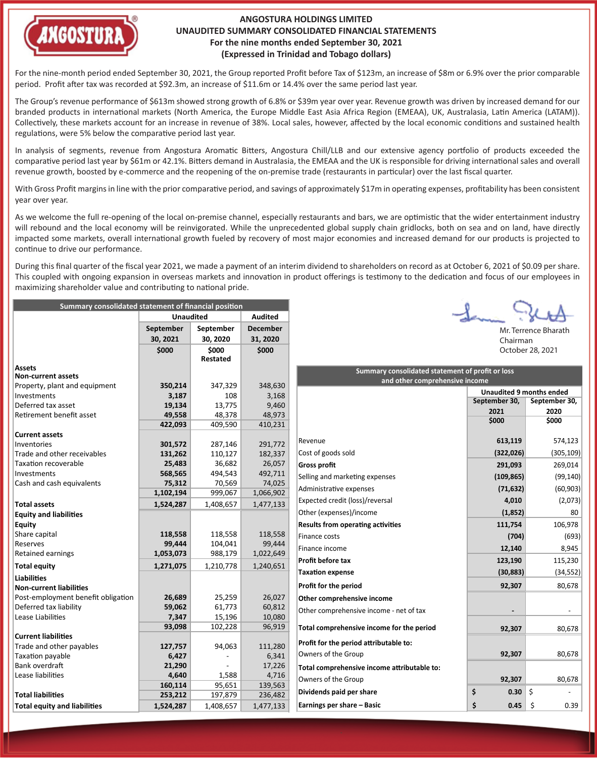

## **ANGOSTURA HOLDINGS LIMITED UNAUDITED SUMMARY CONSOLIDATED FINANCIAL STATEMENTS For the nine months ended September 30, 2021 (Expressed in Trinidad and Tobago dollars)**

For the nine-month period ended September 30, 2021, the Group reported Profit before Tax of \$123m, an increase of \$8m or 6.9% over the prior comparable period. Profit a�er tax was recorded at \$92.3m, an increase of \$11.6m or 14.4% over the same period last year.

The Group's revenue performance of \$613m showed strong growth of 6.8% or \$39m year over year. Revenue growth was driven by increased demand for our branded products in international markets (North America, the Europe Middle East Asia Africa Region (EMEAA), UK, Australasia, Latin America (LATAM)). Collectively, these markets account for an increase in revenue of 38%. Local sales, however, affected by the local economic conditions and sustained health regulations, were 5% below the comparative period last year.

In analysis of segments, revenue from Angostura Aromatic Bitters, Angostura Chill/LLB and our extensive agency portfolio of products exceeded the comparative period last year by \$61m or 42.1%. Bitters demand in Australasia, the EMEAA and the UK is responsible for driving international sales and overall revenue growth, boosted by e-commerce and the reopening of the on-premise trade (restaurants in particular) over the last fiscal quarter.

With Gross Profit margins in line with the prior comparative period, and savings of approximately \$17m in operating expenses, profitability has been consistent year over year.

As we welcome the full re-opening of the local on-premise channel, especially restaurants and bars, we are optimistic that the wider entertainment industry will rebound and the local economy will be reinvigorated. While the unprecedented global supply chain gridlocks, both on sea and on land, have directly impacted some markets, overall international growth fueled by recovery of most major economies and increased demand for our products is projected to continue to drive our performance.

During this final quarter of the fiscal year 2021, we made a payment of an interim dividend to shareholders on record as at October 6, 2021 of \$0.09 per share. This coupled with ongoing expansion in overseas markets and innovation in product offerings is testimony to the dedication and focus of our employees in maximizing shareholder value and contributing to national pride.

| Summary consolidated statement of financial position |                  |                 |                |  |
|------------------------------------------------------|------------------|-----------------|----------------|--|
|                                                      | <b>Unaudited</b> |                 | <b>Audited</b> |  |
|                                                      | <b>September</b> | September       |                |  |
|                                                      | 30, 2021         | 30, 2020        | 31, 2020       |  |
|                                                      | \$000            | \$000           | \$000          |  |
|                                                      |                  | <b>Restated</b> |                |  |
| <b>Assets</b>                                        |                  |                 |                |  |
| <b>Non-current assets</b>                            |                  |                 |                |  |
| Property, plant and equipment                        | 350,214          | 347,329         | 348,630        |  |
| Investments                                          | 3,187            | 108             | 3,168          |  |
| Deferred tax asset                                   | 19,134           | 13,775          | 9,460          |  |
| Retirement benefit asset                             | 49,558           | 48,378          | 48,973         |  |
|                                                      | 422,093          | 409,590         | 410,231        |  |
| <b>Current assets</b>                                |                  |                 |                |  |
| Inventories                                          | 301,572          | 287,146         | 291,772        |  |
| Trade and other receivables                          | 131,262          | 110,127         | 182,337        |  |
| Taxation recoverable                                 | 25,483           | 36,682          | 26,057         |  |
| Investments                                          | 568,565          | 494,543         | 492,711        |  |
| Cash and cash equivalents                            | 75,312           | 70,569          | 74,025         |  |
|                                                      | 1,102,194        | 999,067         | 1,066,902      |  |
| <b>Total assets</b>                                  | 1,524,287        | 1,408,657       | 1,477,133      |  |
| <b>Equity and liabilities</b>                        |                  |                 |                |  |
| <b>Equity</b>                                        |                  |                 |                |  |
| Share capital                                        | 118,558          | 118,558         | 118,558        |  |
| Reserves                                             | 99,444           | 104,041         | 99,444         |  |
| Retained earnings                                    | 1,053,073        | 988,179         | 1,022,649      |  |
| <b>Total equity</b>                                  | 1,271,075        | 1,210,778       | 1,240,651      |  |
| <b>Liabilities</b>                                   |                  |                 |                |  |
| <b>Non-current liabilities</b>                       |                  |                 |                |  |
| Post-employment benefit obligation                   | 26,689           | 25,259          | 26,027         |  |
| Deferred tax liability                               | 59,062           | 61,773          | 60,812         |  |
| Lease Liabilities                                    | 7,347            | 15,196          | 10,080         |  |
|                                                      | 93,098           | 102,228         | 96,919         |  |
| <b>Current liabilities</b>                           |                  |                 |                |  |
| Trade and other payables                             | 127,757          | 94,063          | 111,280        |  |
| Taxation payable                                     | 6,427            |                 | 6,341          |  |
| Bank overdraft                                       | 21,290           |                 | 17,226         |  |
| Lease liabilities                                    | 4,640            | 1,588           | 4,716          |  |
|                                                      | 160,114          | 95,651          | 139,563        |  |
| <b>Total liabilities</b>                             | 253,212          | 197,879         | 236,482        |  |
| <b>Total equity and liabilities</b>                  | 1,524,287        | 1,408,657       | 1,477,133      |  |

| $44\%$ |
|--------|
|        |

Mr. Terrence Bharath Chairman October 28, 2021

| Summary consolidated statement of profit or loss<br>and other comprehensive income |                                 |               |  |  |
|------------------------------------------------------------------------------------|---------------------------------|---------------|--|--|
|                                                                                    | <b>Unaudited 9 months ended</b> |               |  |  |
|                                                                                    | September 30,                   | September 30, |  |  |
|                                                                                    | 2021<br>\$000                   | 2020<br>\$000 |  |  |
|                                                                                    |                                 |               |  |  |
| Revenue                                                                            | 613,119                         | 574,123       |  |  |
| Cost of goods sold                                                                 | (322, 026)                      | (305, 109)    |  |  |
| <b>Gross profit</b>                                                                | 291,093                         | 269,014       |  |  |
| Selling and marketing expenses                                                     | (109, 865)                      | (99, 140)     |  |  |
| Administrative expenses                                                            | (71, 632)                       | (60, 903)     |  |  |
| Expected credit (loss)/reversal                                                    | 4,010                           | (2,073)       |  |  |
| Other (expenses)/income                                                            | (1,852)                         | 80            |  |  |
| <b>Results from operating activities</b>                                           | 111,754                         | 106,978       |  |  |
| Finance costs                                                                      | (704)                           | (693)         |  |  |
| Finance income                                                                     | 12,140                          | 8,945         |  |  |
| Profit before tax                                                                  | 123,190                         | 115,230       |  |  |
| <b>Taxation expense</b>                                                            | (30, 883)                       | (34, 552)     |  |  |
| Profit for the period                                                              | 92,307                          | 80,678        |  |  |
| Other comprehensive income                                                         |                                 |               |  |  |
| Other comprehensive income - net of tax                                            |                                 |               |  |  |
| Total comprehensive income for the period                                          | 92,307                          | 80,678        |  |  |
| Profit for the period attributable to:                                             |                                 |               |  |  |
| Owners of the Group                                                                | 92,307                          | 80,678        |  |  |
| Total comprehensive income attributable to:                                        |                                 |               |  |  |
| Owners of the Group                                                                | 92,307                          | 80,678        |  |  |
| Dividends paid per share                                                           | \$<br>0.30                      | \$            |  |  |
| Earnings per share - Basic                                                         | \$<br>0.45                      | \$<br>0.39    |  |  |